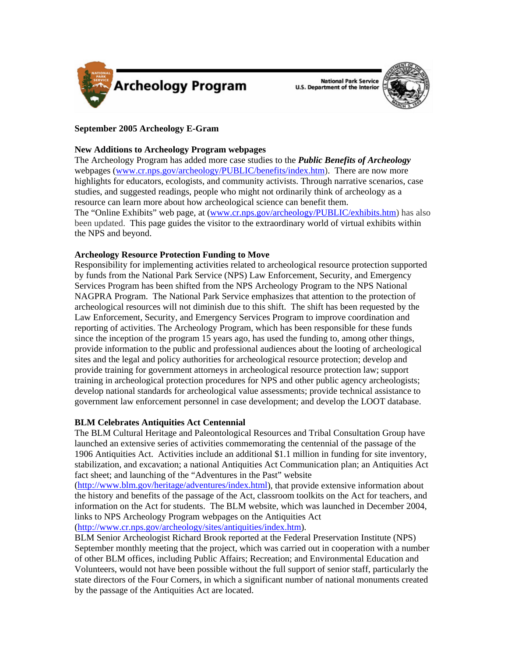

**National Park Service U.S. Department of the Interior** 



# **September 2005 Archeology E-Gram**

### **New Additions to Archeology Program webpages**

The Archeology Program has added more case studies to the *Public Benefits of Archeology* webpages ([www.cr.nps.gov/archeology/PUBLIC/benefits/index.htm\)](http://www.cr.nps.gov/archeology/PUBLIC/benefits/index.htm). There are now more highlights for educators, ecologists, and community activists. Through narrative scenarios, case studies, and suggested readings, people who might not ordinarily think of archeology as a resource can learn more about how archeological science can benefit them. The "Online Exhibits" web page, at [\(www.cr.nps.gov/archeology/PUBLIC/exhibits.htm\)](http://www.cr.nps.gov/archeology/PUBLIC/exhibits.htm) has also been updated. This page guides the visitor to the extraordinary world of virtual exhibits within the NPS and beyond.

## **Archeology Resource Protection Funding to Move**

Responsibility for implementing activities related to archeological resource protection supported by funds from the National Park Service (NPS) Law Enforcement, Security, and Emergency Services Program has been shifted from the NPS Archeology Program to the NPS National NAGPRA Program. The National Park Service emphasizes that attention to the protection of archeological resources will not diminish due to this shift. The shift has been requested by the Law Enforcement, Security, and Emergency Services Program to improve coordination and reporting of activities. The Archeology Program, which has been responsible for these funds since the inception of the program 15 years ago, has used the funding to, among other things, provide information to the public and professional audiences about the looting of archeological sites and the legal and policy authorities for archeological resource protection; develop and provide training for government attorneys in archeological resource protection law; support training in archeological protection procedures for NPS and other public agency archeologists; develop national standards for archeological value assessments; provide technical assistance to government law enforcement personnel in case development; and develop the LOOT database.

## **BLM Celebrates Antiquities Act Centennial**

The BLM Cultural Heritage and Paleontological Resources and Tribal Consultation Group have launched an extensive series of activities commemorating the centennial of the passage of the 1906 Antiquities Act. Activities include an additional \$1.1 million in funding for site inventory, stabilization, and excavation; a national Antiquities Act Communication plan; an Antiquities Act fact sheet; and launching of the "Adventures in the Past" website

(<http://www.blm.gov/heritage/adventures/index.html>), that provide extensive information about the history and benefits of the passage of the Act, classroom toolkits on the Act for teachers, and information on the Act for students. The BLM website, which was launched in December 2004, links to NPS Archeology Program webpages on the Antiquities Act (<http://www.cr.nps.gov/archeology/sites/antiquities/index.htm>).

BLM Senior Archeologist Richard Brook reported at the Federal Preservation Institute (NPS) September monthly meeting that the project, which was carried out in cooperation with a number of other BLM offices, including Public Affairs; Recreation; and Environmental Education and Volunteers, would not have been possible without the full support of senior staff, particularly the state directors of the Four Corners, in which a significant number of national monuments created by the passage of the Antiquities Act are located.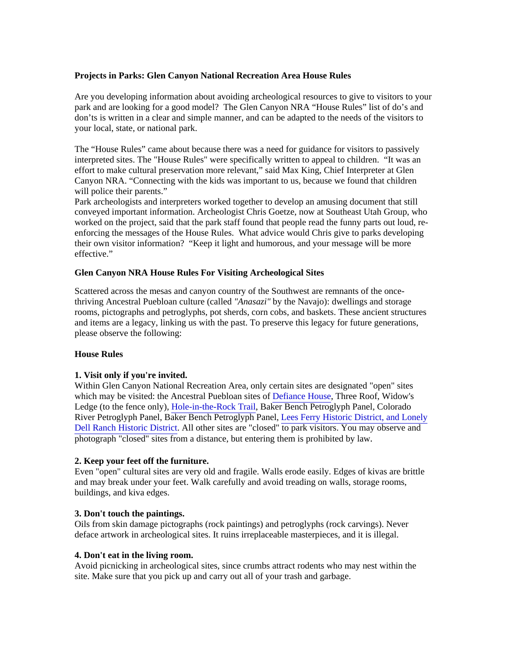# **Projects in Parks: Glen Canyon National Recreation Area House Rules**

Are you developing information about avoiding archeological resources to give to visitors to your park and are looking for a good model? The Glen Canyon NRA "House Rules" list of do's and don'ts is written in a clear and simple manner, and can be adapted to the needs of the visitors to your local, state, or national park.

The "House Rules" came about because there was a need for guidance for visitors to passively interpreted sites. The "House Rules" were specifically written to appeal to children. "It was an effort to make cultural preservation more relevant," said Max King, Chief Interpreter at Glen Canyon NRA. "Connecting with the kids was important to us, because we found that children will police their parents."

Park archeologists and interpreters worked together to develop an amusing document that still conveyed important information. Archeologist Chris Goetze, now at Southeast Utah Group, who worked on the project, said that the park staff found that people read the funny parts out loud, reenforcing the messages of the House Rules. What advice would Chris give to parks developing their own visitor information? "Keep it light and humorous, and your message will be more effective."

## **Glen Canyon NRA House Rules For Visiting Archeological Sites**

Scattered across the mesas and canyon country of the Southwest are remnants of the oncethriving Ancestral Puebloan culture (called *"Anasazi"* by the Navajo): dwellings and storage rooms, pictographs and petroglyphs, pot sherds, corn cobs, and baskets. These ancient structures and items are a legacy, linking us with the past. To preserve this legacy for future generations, please observe the following:

#### **House Rules**

## **1. Visit only if you're invited.**

Within Glen Canyon National Recreation Area, only certain sites are designated "open" sites which may be visited: the Ancestral Puebloan sites of [Defiance House](http://www.nps.gov/archive/glca/dhouse.htm), Three Roof, Widow's Ledge (to the fence only), [Hole-in-the-Rock Trail](http://home.nps.gov/glca/historyculture/holeintherock.htm), Baker Bench Petroglyph Panel, Colorado River Petroglyph Panel, Baker Bench Petroglyph Panel, Lees Ferry Historic District, and Lonely [Dell Ranch Historic District. All other sites are "closed" to park visitors. You may observe and](http://home.nps.gov/glca/historyculture/leesferryhistory.htm)  photograph "closed" sites from a distance, but entering them is prohibited by law.

#### **2. Keep your feet off the furniture.**

Even "open" cultural sites are very old and fragile. Walls erode easily. Edges of kivas are brittle and may break under your feet. Walk carefully and avoid treading on walls, storage rooms, buildings, and kiva edges.

## **3. Don't touch the paintings.**

Oils from skin damage pictographs (rock paintings) and petroglyphs (rock carvings). Never deface artwork in archeological sites. It ruins irreplaceable masterpieces, and it is illegal.

#### **4. Don't eat in the living room.**

Avoid picnicking in archeological sites, since crumbs attract rodents who may nest within the site. Make sure that you pick up and carry out all of your trash and garbage.